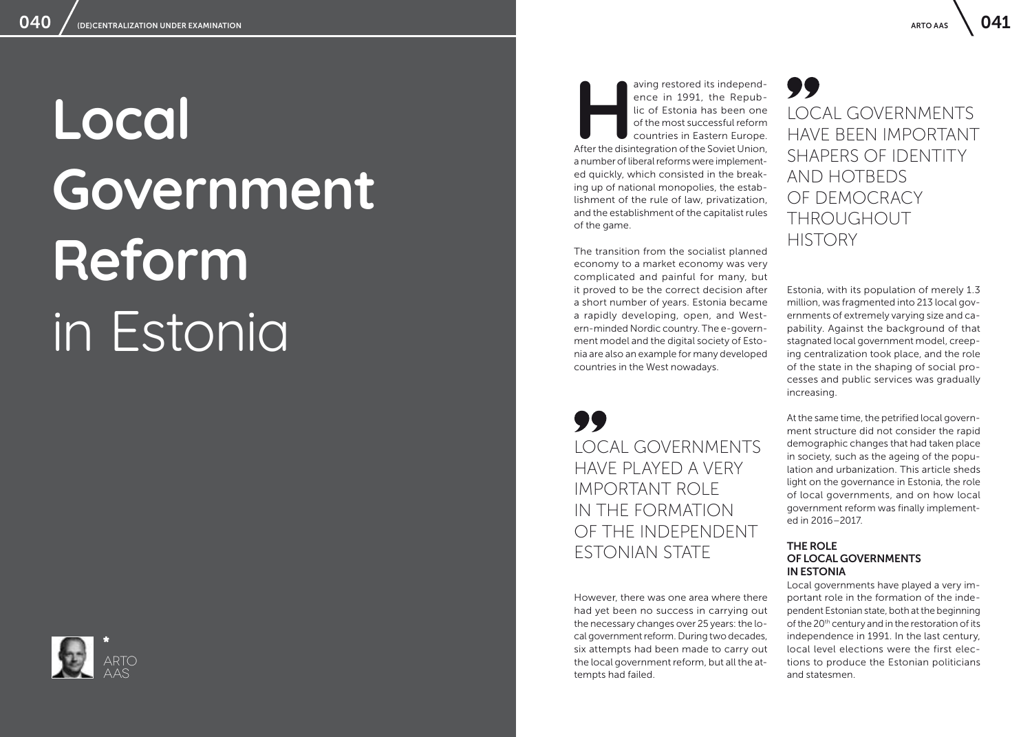# **Local Government Reform** in Estonia

ARTO AAS

aving restored its independence in 1991, the Republic of Estonia has been one of the most successful reform countries in Eastern Europe.<br>After the disintegration of the Soviet Union, ence in 1991, the Republic of Estonia has been one of the most successful reform countries in Eastern Europe. a number of liberal reforms were implemented quickly, which consisted in the breaking up of national monopolies, the establishment of the rule of law, privatization, and the establishment of the capitalist rules of the game.

The transition from the socialist planned economy to a market economy was very complicated and painful for many, but it proved to be the correct decision after a short number of years. Estonia became a rapidly developing, open, and Western-minded Nordic country. The e-government model and the digital society of Estonia are also an example for many developed countries in the West nowadays.

LOCAL GOVERNMENTS HAVE PLAYED A VERY IMPORTANT ROLE IN THE FORMATION OF THE INDEPENDENT ESTONIAN STATE

However, there was one area where there had yet been no success in carrying out the necessary changes over 25 years: the local government reform. During two decades, six attempts had been made to carry out the local government reform, but all the attempts had failed.

99 LOCAL GOVERNMENTS HAVE BEEN IMPORTANT SHAPERS OF IDENTITY AND HOTBEDS OF DEMOCRACY THROUGHOUT **HISTORY** 

Estonia, with its population of merely 1.3 million, was fragmented into 213 local governments of extremely varying size and capability. Against the background of that stagnated local government model, creeping centralization took place, and the role of the state in the shaping of social processes and public services was gradually increasing.

At the same time, the petrified local government structure did not consider the rapid demographic changes that had taken place in society, such as the ageing of the population and urbanization. This article sheds light on the governance in Estonia, the role of local governments, and on how local government reform was finally implemented in 2016–2017.

#### THE ROLE OF LOCAL GOVERNMENTS IN ESTONIA

Local governments have played a very important role in the formation of the independent Estonian state, both at the beginning of the 20<sup>th</sup> century and in the restoration of its independence in 1991. In the last century, local level elections were the first elections to produce the Estonian politicians and statesmen.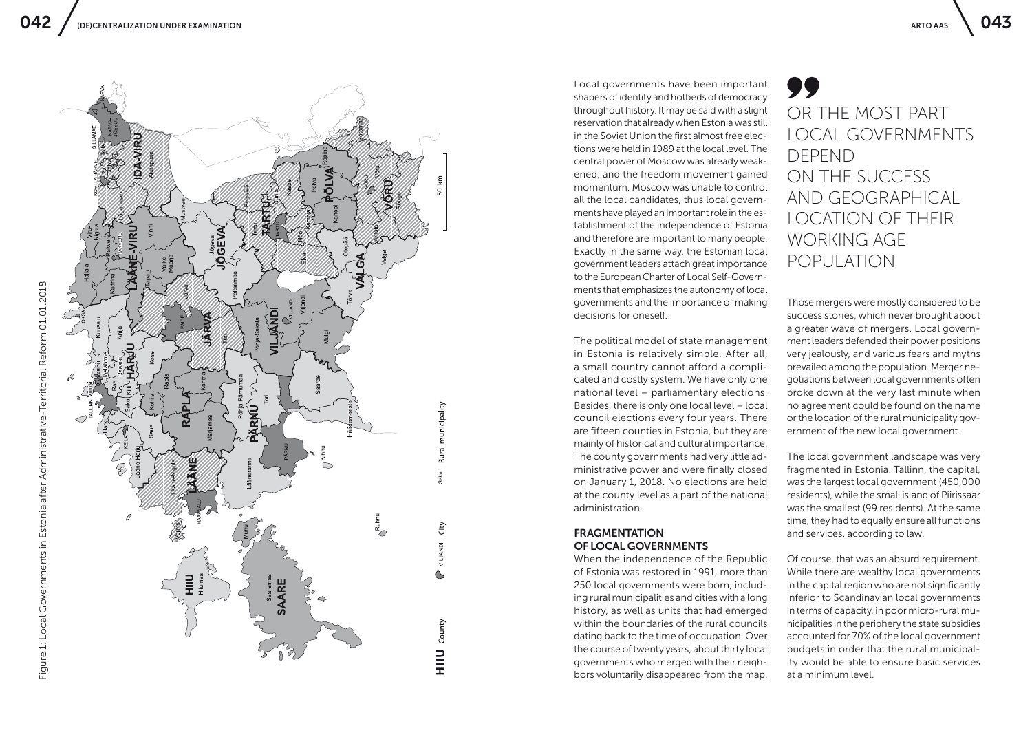

Local governments have been important shapers of identity and hotbeds of democracy throughout history. It may be said with a slight reservation that already when Estonia was still in the Soviet Union the first almost free elec tions were held in 1989 at the local level. The central power of Moscow was already weak ened, and the freedom movement gained momentum. Moscow was unable to control all the local candidates, thus local govern ments have played an important role in the es tablishment of the independence of Estonia and therefore are important to many people. Exactly in the same way, the Estonian local government leaders attach great importance to the European Charter of Local Self-Govern ments that emphasizes the autonomy of local governments and the importance of making decisions for oneself.

The political model of state management in Estonia is relatively simple. After all, a small country cannot afford a compli cated and costly system. We have only one national level – parliamentary elections. Besides, there is only one local level – local council elections every four years. There are fifteen counties in Estonia, but they are mainly of historical and cultural importance. The county governments had very little ad ministrative power and were finally closed on January 1, 2018. No elections are held at the county level as a part of the national administration.

#### FRAGMENTATION OF LOCAL GOVERNMENTS

When the independence of the Republic of Estonia was restored in 1991, more than 250 local governments were born, includ ing rural municipalities and cities with a long history, as well as units that had emerged within the boundaries of the rural councils dating back to the time of occupation. Over the course of twenty years, about thirty local governments who merged with their neigh bors voluntarily disappeared from the map.

## OR THE MOST PART LOCAL GOVERNMENTS DEPEND ON THE SUCCESS AND GEOGRAPHICAL LOCATION OF THEIR WORKING AGE POPULATION

Those mergers were mostly considered to be success stories, which never brought about a greater wave of mergers. Local govern ment leaders defended their power positions very jealously, and various fears and myths prevailed among the population. Merger ne gotiations between local governments often broke down at the very last minute when no agreement could be found on the name or the location of the rural municipality gov ernment of the new local government.

The local government landscape was very fragmented in Estonia. Tallinn, the capital, was the largest local government (450,000 residents), while the small island of Piirissaar was the smallest (99 residents). At the same time, they had to equally ensure all functions and services, according to law.

Of course, that was an absurd requirement. While there are wealthy local governments in the capital region who are not significantly inferior to Scandinavian local governments in terms of capacity, in poor micro-rural mu nicipalities in the periphery the state subsidies accounted for 70% of the local government budgets in order that the rural municipal ity would be able to ensure basic services at a minimum level.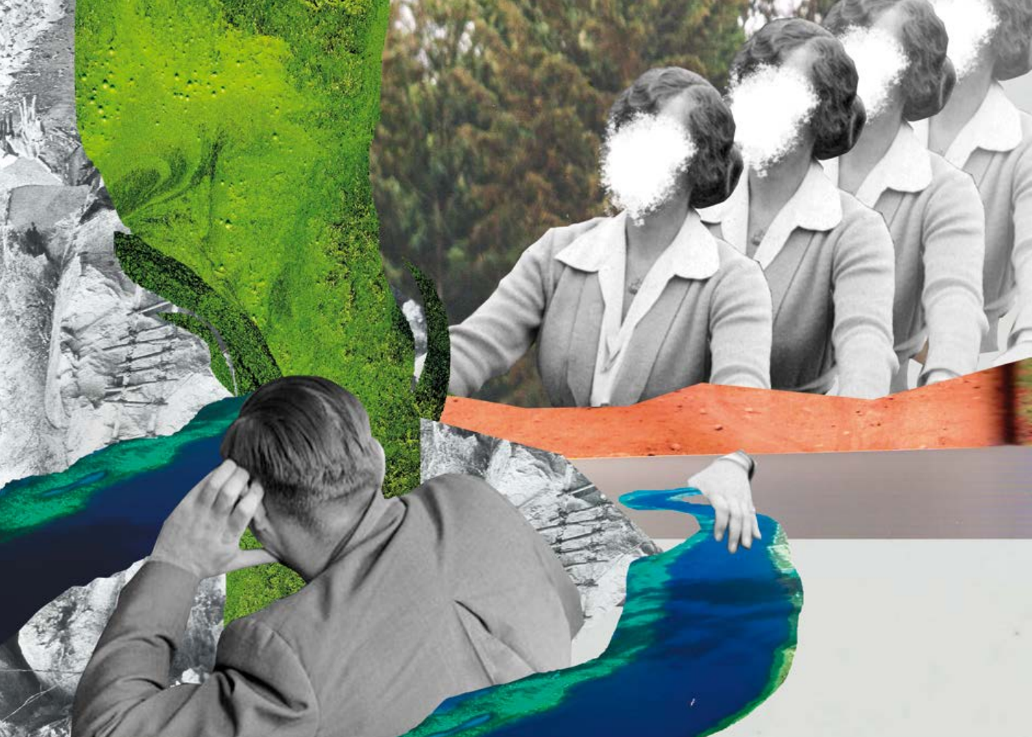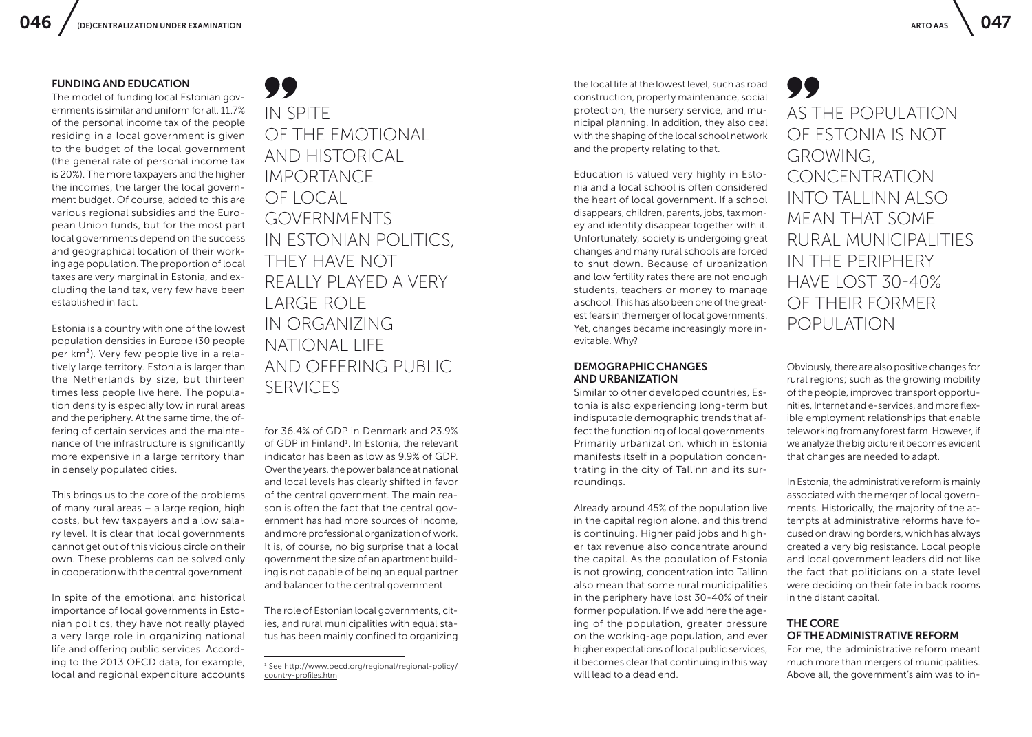#### FUNDING AND EDUCATION

The model of funding local Estonian governments is similar and uniform for all. 11.7% of the personal income tax of the people residing in a local government is given to the budget of the local government (the general rate of personal income tax is 20%). The more taxpayers and the higher the incomes, the larger the local government budget. Of course, added to this are various regional subsidies and the European Union funds, but for the most part local governments depend on the success and geographical location of their working age population. The proportion of local taxes are very marginal in Estonia, and excluding the land tax, very few have been established in fact.

Estonia is a country with one of the lowest population densities in Europe (30 people per km<sup>2</sup>). Very few people live in a relatively large territory. Estonia is larger than the Netherlands by size, but thirteen times less people live here. The population density is especially low in rural areas and the periphery. At the same time, the offering of certain services and the maintenance of the infrastructure is significantly more expensive in a large territory than in densely populated cities.

This brings us to the core of the problems of many rural areas – a large region, high costs, but few taxpayers and a low salary level. It is clear that local governments cannot get out of this vicious circle on their own. These problems can be solved only in cooperation with the central government.

In spite of the emotional and historical importance of local governments in Estonian politics, they have not really played a very large role in organizing national life and offering public services. According to the 2013 OECD data, for example, local and regional expenditure accounts

99 IN SPITE OF THE EMOTIONAL AND HISTORICAL IMPORTANCE OF LOCAL GOVERNMENTS IN ESTONIAN POLITICS, THEY HAVE NOT REALLY PLAYED A VERY LARGE ROLE IN ORGANIZING NATIONAL LIFE AND OFFERING PUBLIC SERVICES

for 36.4% of GDP in Denmark and 23.9% of GDP in Finland<sup>1</sup>. In Estonia, the relevant indicator has been as low as 9.9% of GDP. Over the years, the power balance at national and local levels has clearly shifted in favor of the central government. The main reason is often the fact that the central government has had more sources of income, and more professional organization of work. It is, of course, no big surprise that a local government the size of an apartment building is not capable of being an equal partner and balancer to the central government.

The role of Estonian local governments, cities, and rural municipalities with equal status has been mainly confined to organizing

the local life at the lowest level, such as road construction, property maintenance, social protection, the nursery service, and municipal planning. In addition, they also deal with the shaping of the local school network and the property relating to that.

Education is valued very highly in Estonia and a local school is often considered the heart of local government. If a school disappears, children, parents, jobs, tax money and identity disappear together with it. Unfortunately, society is undergoing great changes and many rural schools are forced to shut down. Because of urbanization and low fertility rates there are not enough students, teachers or money to manage a school. This has also been one of the greatest fears in the merger of local governments. Yet, changes became increasingly more inevitable. Why?

#### DEMOGRAPHIC CHANGES AND URBANIZATION

Similar to other developed countries, Estonia is also experiencing long-term but indisputable demographic trends that affect the functioning of local governments. Primarily urbanization, which in Estonia manifests itself in a population concentrating in the city of Tallinn and its surroundings.

Already around 45% of the population live in the capital region alone, and this trend is continuing. Higher paid jobs and higher tax revenue also concentrate around the capital. As the population of Estonia is not growing, concentration into Tallinn also mean that some rural municipalities in the periphery have lost 30-40% of their former population. If we add here the ageing of the population, greater pressure on the working-age population, and ever higher expectations of local public services, it becomes clear that continuing in this way will lead to a dead end.

99 AS THE POPULATION OF ESTONIA IS NOT GROWING, CONCENTRATION INTO TALLINN ALSO MEAN THAT SOME RURAL MUNICIPALITIES IN THE PERIPHERY HAVE LOST 30-40% OF THEIR FORMER POPULATION

Obviously, there are also positive changes for rural regions; such as the growing mobility of the people, improved transport opportunities, Internet and e-services, and more flexible employment relationships that enable teleworking from any forest farm. However, if we analyze the big picture it becomes evident that changes are needed to adapt.

In Estonia, the administrative reform is mainly associated with the merger of local governments. Historically, the majority of the attempts at administrative reforms have focused on drawing borders, which has always created a very big resistance. Local people and local government leaders did not like the fact that politicians on a state level were deciding on their fate in back rooms in the distant capital.

#### THE CORE OF THE ADMINISTRATIVE REFORM

For me, the administrative reform meant much more than mergers of municipalities. Above all, the government's aim was to in-

<sup>1</sup> See [http://www.oecd.org/regional/regional-policy/](http://www.oecd.org/regional/regional-policy/country-profiles.htm) [country-profiles.htm](http://www.oecd.org/regional/regional-policy/country-profiles.htm)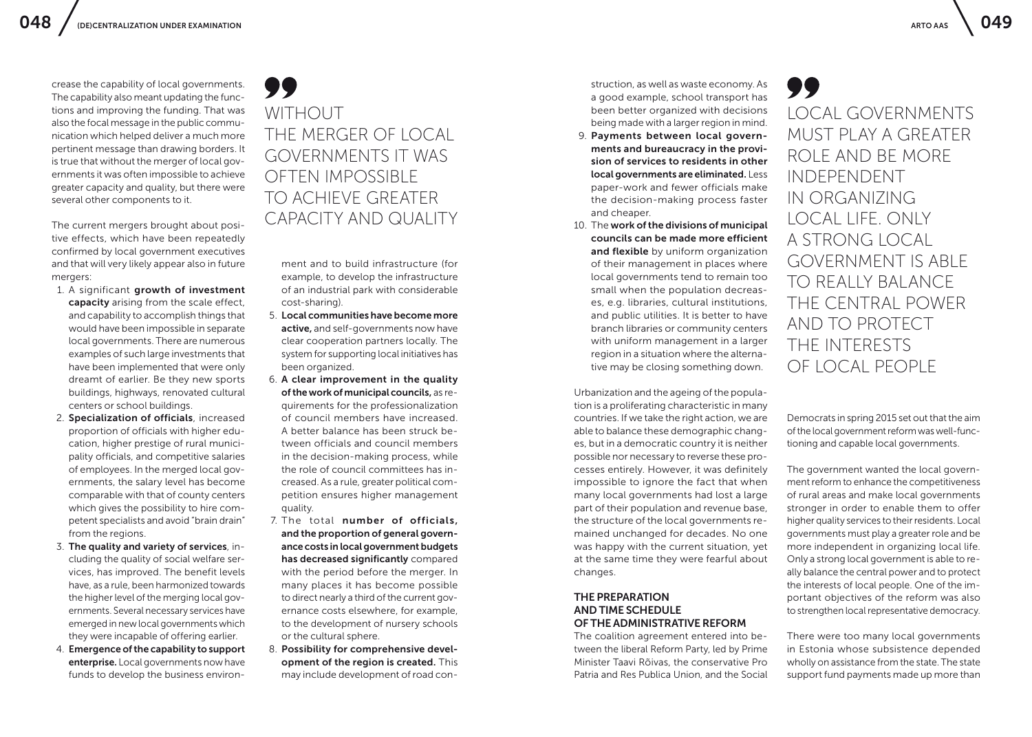crease the capability of local governments. The capability also meant updating the functions and improving the funding. That was also the focal message in the public communication which helped deliver a much more pertinent message than drawing borders. It is true that without the merger of local governments it was often impossible to achieve greater capacity and quality, but there were several other components to it.

The current mergers brought about positive effects, which have been repeatedly confirmed by local government executives and that will very likely appear also in future mergers:

- 1. A significant growth of investment capacity arising from the scale effect, and capability to accomplish things that would have been impossible in separate local governments. There are numerous examples of such large investments that have been implemented that were only dreamt of earlier. Be they new sports buildings, highways, renovated cultural centers or school buildings.
- 2. Specialization of officials, increased proportion of officials with higher education, higher prestige of rural municipality officials, and competitive salaries of employees. In the merged local governments, the salary level has become comparable with that of county centers which gives the possibility to hire competent specialists and avoid "brain drain" from the regions.
- 3. The quality and variety of services, including the quality of social welfare services, has improved. The benefit levels have, as a rule, been harmonized towards the higher level of the merging local governments. Several necessary services have emerged in new local governments which they were incapable of offering earlier.
- 4. Emergence of the capability to support enterprise. Local governments now have funds to develop the business environ-

### 99 WITHOUT THE MERGER OF LOCAL GOVERNMENTS IT WAS OFTEN IMPOSSIBLE TO ACHIEVE GREATER CAPACITY AND QUALITY

ment and to build infrastructure (for example, to develop the infrastructure of an industrial park with considerable cost-sharing).

- 5. Local communities have become more active, and self-governments now have clear cooperation partners locally. The system for supporting local initiatives has been organized.
- 6. A clear improvement in the quality of the work of municipal councils, as requirements for the professionalization of council members have increased. A better balance has been struck between officials and council members in the decision-making process, while the role of council committees has increased. As a rule, greater political competition ensures higher management quality.
- 7. The total number of officials, and the proportion of general governance costs in local government budgets has decreased significantly compared with the period before the merger. In many places it has become possible to direct nearly a third of the current governance costs elsewhere, for example, to the development of nursery schools or the cultural sphere.
- 8. Possibility for comprehensive development of the region is created. This may include development of road con-

struction, as well as waste economy. As a good example, school transport has been better organized with decisions being made with a larger region in mind.

- 9. Payments between local governments and bureaucracy in the provision of services to residents in other local governments are eliminated. Less paper-work and fewer officials make the decision-making process faster and cheaper.
- 10. The work of the divisions of municipal councils can be made more efficient and flexible by uniform organization of their management in places where local governments tend to remain too small when the population decreases, e.g. libraries, cultural institutions, and public utilities. It is better to have branch libraries or community centers with uniform management in a larger region in a situation where the alternative may be closing something down.

Urbanization and the ageing of the population is a proliferating characteristic in many countries. If we take the right action, we are able to balance these demographic changes, but in a democratic country it is neither possible nor necessary to reverse these processes entirely. However, it was definitely impossible to ignore the fact that when many local governments had lost a large part of their population and revenue base, the structure of the local governments remained unchanged for decades. No one was happy with the current situation, yet at the same time they were fearful about changes.

#### THE PREPARATION AND TIME SCHEDULE OF THE ADMINISTRATIVE REFORM

The coalition agreement entered into between the liberal Reform Party, led by Prime Minister Taavi Rõivas, the conservative Pro Patria and Res Publica Union, and the Social

99 LOCAL GOVERNMENTS MUST PLAY A GREATER ROLE AND BE MORE INDEPENDENT IN ORGANIZING LOCAL LIFE. ONLY A STRONG LOCAL GOVERNMENT IS ABLE TO REALLY BALANCE THE CENTRAL POWER AND TO PROTECT THE INTERESTS OF LOCAL PEOPLE

Democrats in spring 2015 set out that the aim of the local government reform was well-functioning and capable local governments.

The government wanted the local government reform to enhance the competitiveness of rural areas and make local governments stronger in order to enable them to offer higher quality services to their residents. Local governments must play a greater role and be more independent in organizing local life. Only a strong local government is able to really balance the central power and to protect the interests of local people. One of the important objectives of the reform was also to strengthen local representative democracy.

There were too many local governments in Estonia whose subsistence depended wholly on assistance from the state. The state support fund payments made up more than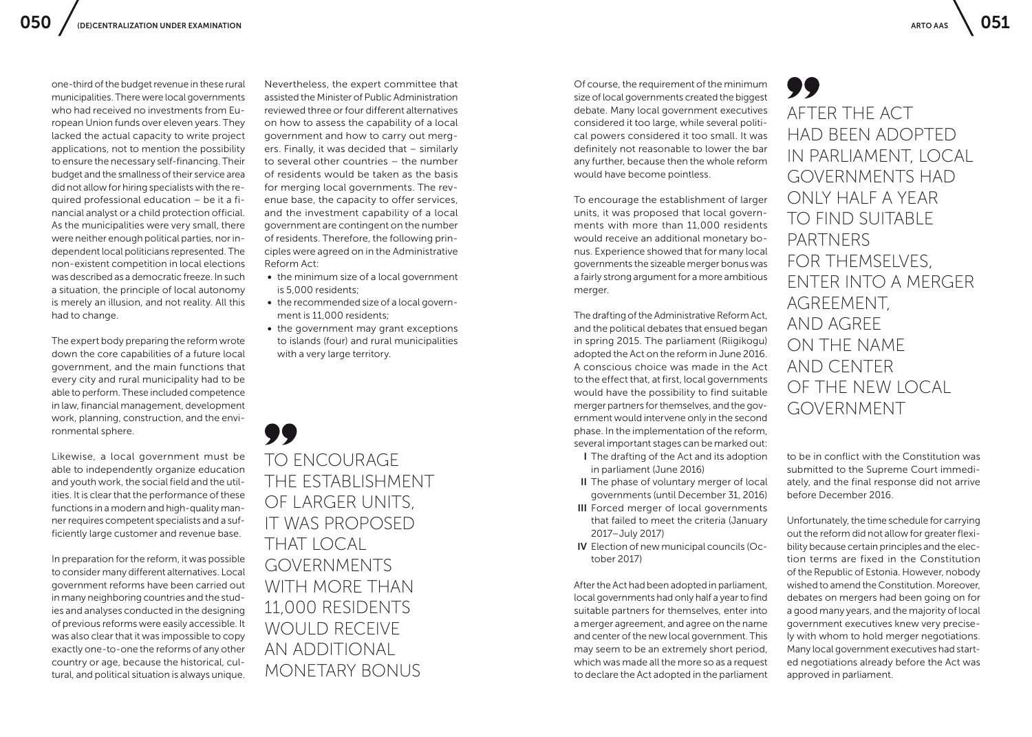one-third of the budget revenue in these rural municipalities. There were local governments who had received no investments from European Union funds over eleven years. They lacked the actual capacity to write project applications, not to mention the possibility to ensure the necessary self-financing. Their budget and the smallness of their service area did not allow for hiring specialists with the required professional education – be it a financial analyst or a child protection official. As the municipalities were very small, there were neither enough political parties, nor independent local politicians represented. The non-existent competition in local elections was described as a democratic freeze. In such a situation, the principle of local autonomy is merely an illusion, and not reality. All this had to change.

The expert body preparing the reform wrote down the core capabilities of a future local government, and the main functions that every city and rural municipality had to be able to perform. These included competence in law, financial management, development work, planning, construction, and the environmental sphere.

Likewise, a local government must be able to independently organize education and youth work, the social field and the utilities. It is clear that the performance of these functions in a modern and high-quality manner requires competent specialists and a sufficiently large customer and revenue base.

In preparation for the reform, it was possible to consider many different alternatives. Local government reforms have been carried out in many neighboring countries and the studies and analyses conducted in the designing of previous reforms were easily accessible. It was also clear that it was impossible to copy exactly one-to-one the reforms of any other country or age, because the historical, cultural, and political situation is always unique.

Nevertheless, the expert committee that assisted the Minister of Public Administration reviewed three or four different alternatives on how to assess the capability of a local government and how to carry out mergers. Finally, it was decided that – similarly to several other countries – the number of residents would be taken as the basis for merging local governments. The revenue base, the capacity to offer services, and the investment capability of a local government are contingent on the number of residents. Therefore, the following principles were agreed on in the Administrative Reform Act:

- the minimum size of a local government is 5,000 residents;
- the recommended size of a local government is 11,000 residents;
- the government may grant exceptions to islands (four) and rural municipalities with a very large territory.

TO ENCOURAGE THE ESTABLISHMENT OF LARGER UNITS, IT WAS PROPOSED THAT LOCAL GOVERNMENTS WITH MORE THAN 11,000 RESIDENTS WOULD RECEIVE AN ADDITIONAL MONETARY BONUS

Of course, the requirement of the minimum size of local governments created the biggest debate. Many local government executives considered it too large, while several political powers considered it too small. It was definitely not reasonable to lower the bar any further, because then the whole reform would have become pointless.

To encourage the establishment of larger units, it was proposed that local governments with more than 11,000 residents would receive an additional monetary bonus. Experience showed that for many local governments the sizeable merger bonus was a fairly strong argument for a more ambitious merger.

The drafting of the Administrative Reform Act, and the political debates that ensued began in spring 2015. The parliament (Riigikogu) adopted the Act on the reform in June 2016. A conscious choice was made in the Act to the effect that, at first, local governments would have the possibility to find suitable merger partners for themselves, and the government would intervene only in the second phase. In the implementation of the reform, several important stages can be marked out:

- I The drafting of the Act and its adoption in parliament (June 2016)
- II The phase of voluntary merger of local governments (until December 31, 2016)
- III Forced merger of local governments that failed to meet the criteria (January 2017–July 2017)
- IV Election of new municipal councils (October 2017)

After the Act had been adopted in parliament, local governments had only half a year to find suitable partners for themselves, enter into a merger agreement, and agree on the name and center of the new local government. This may seem to be an extremely short period, which was made all the more so as a request to declare the Act adopted in the parliament

99 AFTER THE ACT HAD BEEN ADOPTED IN PARLIAMENT, LOCAL GOVERNMENTS HAD ONLY HALF A YEAR TO FIND SUITABLE PARTNERS FOR THEMSELVES, ENTER INTO A MERGER AGREEMENT, AND AGREE ON THE NAME AND CENTER OF THE NEW LOCAL GOVERNMENT

to be in conflict with the Constitution was submitted to the Supreme Court immediately, and the final response did not arrive before December 2016.

Unfortunately, the time schedule for carrying out the reform did not allow for greater flexibility because certain principles and the election terms are fixed in the Constitution of the Republic of Estonia. However, nobody wished to amend the Constitution. Moreover, debates on mergers had been going on for a good many years, and the majority of local government executives knew very precisely with whom to hold merger negotiations. Many local government executives had started negotiations already before the Act was approved in parliament.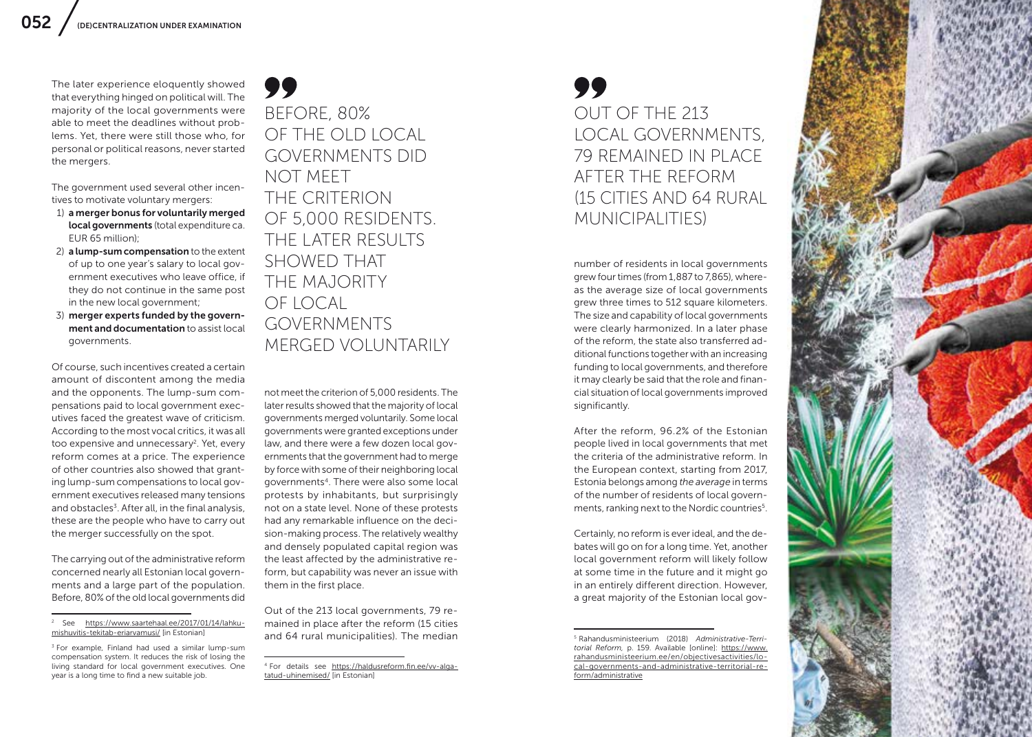The later experience eloquently showed that everything hinged on political will. The majority of the local governments were able to meet the deadlines without prob lems. Yet, there were still those who, for personal or political reasons, never started the mergers.

The government used several other incen tives to motivate voluntary mergers:

- 1) a merger bonus for voluntarily merged local governments (total expenditure ca. EUR 65 million);
- 2) a lump-sum compensation to the extent of up to one year's salary to local gov ernment executives who leave office, if they do not continue in the same post in the new local government;
- 3) merger experts funded by the govern ment and documentation to assist local governments.

Of course, such incentives created a certain amount of discontent among the media and the opponents. The lump-sum com pensations paid to local government exec utives faced the greatest wave of criticism. According to the most vocal critics, it was all too expensive and unnecessary 2. Yet, every reform comes at a price. The experience of other countries also showed that grant ing lump-sum compensations to local gov ernment executives released many tensions and obstacles 3. After all, in the final analysis, these are the people who have to carry out the merger successfully on the spot.

The carrying out of the administrative reform concerned nearly all Estonian local govern ments and a large part of the population. Before, 80% of the old local governments did<br>
<u>2</u> See [https://www.saartehaal.ee/2017/01/14/lahku-](https://www.saartehaal.ee/2017/01/14/lahkumishuvitis-tekitab-eriarvamusi/)

BEFORE, 80% OF THE OLD LOCAL GOVERNMENTS DID NOT MEET THE CRITERION OF 5,000 RESIDENTS. THE LATER RESULTS SHOWED THAT THE MAJORITY OF LOCAL GOVERNMENTS MERGED VOLUNTARILY

not meet the criterion of 5,000 residents. The later results showed that the majority of local governments merged voluntarily. Some local governments were granted exceptions under law, and there were a few dozen local gov ernments that the government had to merge by force with some of their neighboring local governments 4. There were also some local protests by inhabitants, but surprisingly not on a state level. None of these protests had any remarkable influence on the deci sion-making process. The relatively wealthy and densely populated capital region was the least affected by the administrative re form, but capability was never an issue with them in the first place.

Out of the 213 local governments, 79 re mained in place after the reform (15 cities and 64 rural municipalities). The median<br>  $\frac{1}{4}$  For details see [https://haldusreform.fin.ee/vv-alga-](https://haldusreform.fin.ee/vv-algatatud-uhinemised/)

## OUT OF THE 213 LOCAL GOVERNMENTS, 79 REMAINED IN PLACE AFTER THE REFORM (15 CITIES AND 64 RURAL MUNICIPALITIES)

number of residents in local governments grew four times (from 1,887 to 7,865), where as the average size of local governments grew three times to 512 square kilometers. The size and capability of local governments were clearly harmonized. In a later phase of the reform, the state also transferred ad ditional functions together with an increasing funding to local governments, and therefore it may clearly be said that the role and finan cial situation of local governments improved significantly.

After the reform, 96.2% of the Estonian people lived in local governments that met the criteria of the administrative reform. In the European context, starting from 2017, Estonia belongs among *the average* in terms of the number of residents of local govern ments, ranking next to the Nordic countries 5.

Certainly, no reform is ever ideal, and the de bates will go on for a long time. Yet, another local government reform will likely follow at some time in the future and it might go in an entirely different direction. However, a great majority of the Estonian local gov -

<sup>5</sup> Rahandusministeerium (2018) *Administrative-Terri torial Reform,* p. 159. Available [online]: [https://www.](https://www.rahandusministeerium.ee/en/objectivesactivities/local-governments-and-administrative-territorial-reform/administrative) [rahandusministeerium.ee/en/objectivesactivities/lo](https://www.rahandusministeerium.ee/en/objectivesactivities/local-governments-and-administrative-territorial-reform/administrative) [cal-governments-and-administrative-territorial-re](https://www.rahandusministeerium.ee/en/objectivesactivities/local-governments-and-administrative-territorial-reform/administrative) [form/administrative](https://www.rahandusministeerium.ee/en/objectivesactivities/local-governments-and-administrative-territorial-reform/administrative)



[mishuvitis-tekitab-eriarvamusi/](https://www.saartehaal.ee/2017/01/14/lahkumishuvitis-tekitab-eriarvamusi/) [in Estonian]

<sup>&</sup>lt;sup>3</sup> For example, Finland had used a similar lump-sum compensation system. It reduces the risk of losing the living standard for local government executives. One year is a long time to find a new suitable job.

[tatud-uhinemised/](https://haldusreform.fin.ee/vv-algatatud-uhinemised/) [in Estonian]